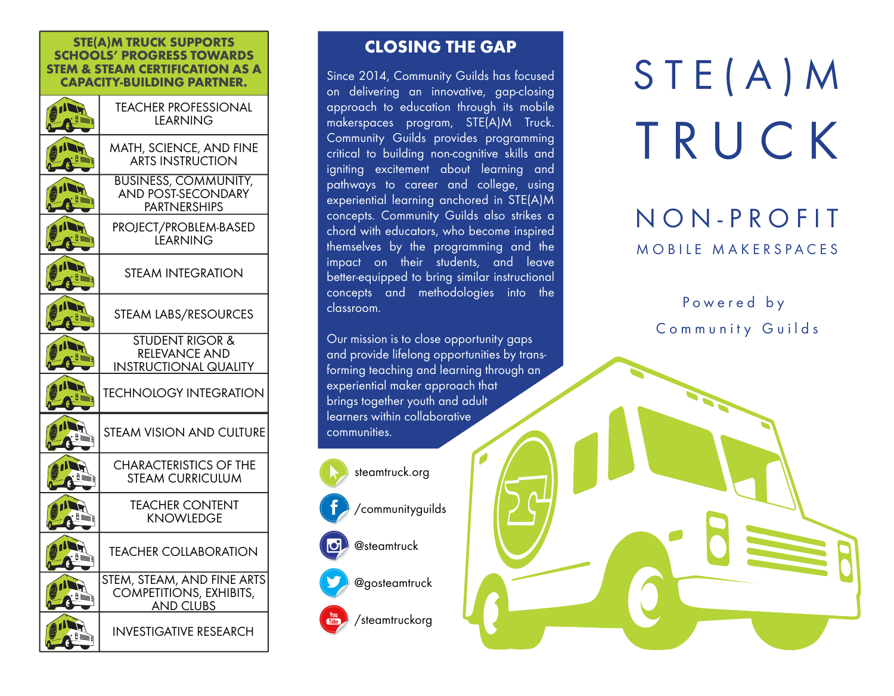## **STE(A)M TRUCK SUPPORTS SCHOOLS' PROGRESS TOWARDS STEM & STEAM CERTIFICATION AS A CAPACITY-BUILDING PARTNER.**

|         | <b>TEACHER PROFESSIONAL</b><br><b>LEARNING</b>                                     |  |  |
|---------|------------------------------------------------------------------------------------|--|--|
|         | MATH, SCIENCE, AND FINE<br><b>ARTS INSTRUCTION</b>                                 |  |  |
| 11      | <b>BUSINESS, COMMUNITY,</b><br><b>AND POST-SECONDARY</b><br><b>PARTNERSHIPS</b>    |  |  |
|         | PROJECT/PROBLEM-BASED<br><b>LEARNING</b>                                           |  |  |
|         | <b>STEAM INTEGRATION</b>                                                           |  |  |
|         | STEAM LABS/RESOURCES                                                               |  |  |
|         | <b>STUDENT RIGOR &amp;</b><br><b>RELEVANCE AND</b><br><b>INSTRUCTIONAL QUALITY</b> |  |  |
|         | <b>TECHNOLOGY INTEGRATION</b>                                                      |  |  |
| U≣<br>ñ | <b>STEAM VISION AND CULTURE</b>                                                    |  |  |
|         | <b>CHARACTERISTICS OF THE</b><br><b>STEAM CURRICULUM</b>                           |  |  |
|         | <b>TEACHER CONTENT</b><br><b>KNOWLEDGE</b>                                         |  |  |
|         | <b>TEACHER COLLABORATION</b>                                                       |  |  |
| E À     | STEM, STEAM, AND FINE ARTS<br><b>COMPETITIONS, EXHIBITS,</b><br><b>AND CLUBS</b>   |  |  |
|         | <b>INVESTIGATIVE RESEARCH</b>                                                      |  |  |

## **CLOSING THE GAP**

Since 2014, Community Guilds has focused on delivering an innovative, gap-closing approach to education through its mobile makerspaces program, STE(A)M Truck. Community Guilds provides programming critical to building non-cognitive skills and igniting excitement about learning and pathways to career and college, using experiential learning anchored in STE(A)M concepts. Community Guilds also strikes a chord with educators, who become inspired themselves by the programming and the impact on their students, and leave better-equipped to bring similar instructional concepts and methodologies into the classroom.

Our mission is to close opportunity gaps and provide lifelong opportunities by transforming teaching and learning through an experiential maker approach that brings together youth and adult learners within collaborative communities.



## STE(A)M TRUCK

## NON-PROFIT MOBILE MAKERSPACES

Powered by Community Guilds